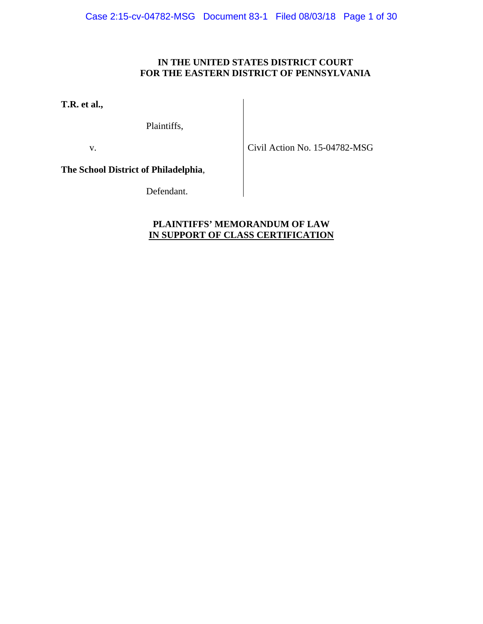# **IN THE UNITED STATES DISTRICT COURT FOR THE EASTERN DISTRICT OF PENNSYLVANIA**

**T.R. et al.,**

Plaintiffs,

v.

Civil Action No. 15-04782-MSG

**The School District of Philadelphia**,

Defendant.

# **PLAINTIFFS' MEMORANDUM OF LAW IN SUPPORT OF CLASS CERTIFICATION**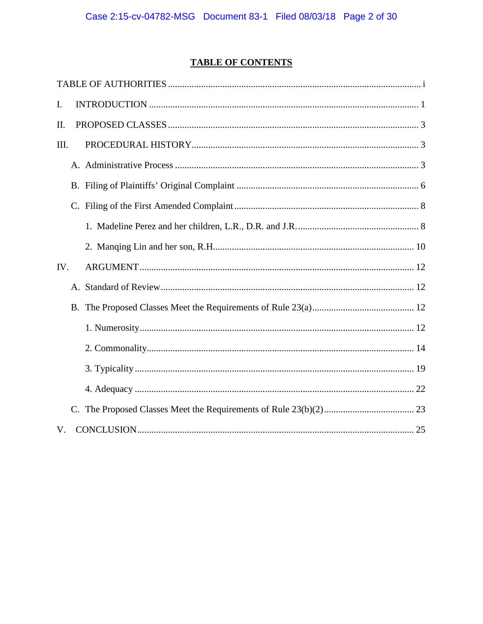# **TABLE OF CONTENTS**

| Ι.  |  |  |  |
|-----|--|--|--|
| II. |  |  |  |
| Ш.  |  |  |  |
|     |  |  |  |
|     |  |  |  |
|     |  |  |  |
|     |  |  |  |
|     |  |  |  |
| IV. |  |  |  |
|     |  |  |  |
|     |  |  |  |
|     |  |  |  |
|     |  |  |  |
|     |  |  |  |
|     |  |  |  |
|     |  |  |  |
| V.  |  |  |  |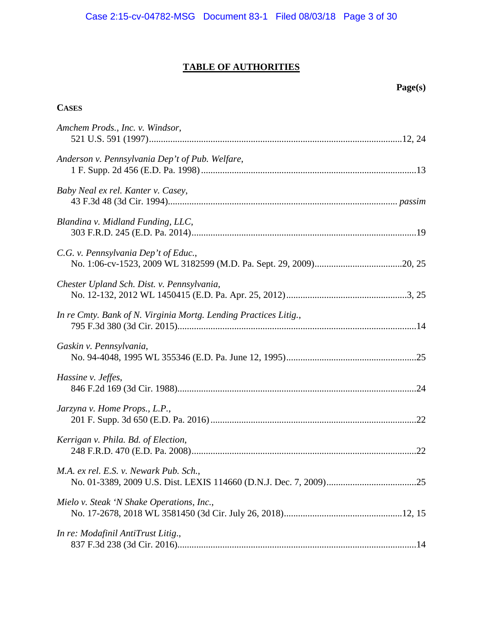# **TABLE OF AUTHORITIES**

# **Page(s)**

# **CASES**

| Amchem Prods., Inc. v. Windsor,                                  |  |
|------------------------------------------------------------------|--|
| Anderson v. Pennsylvania Dep't of Pub. Welfare,                  |  |
| Baby Neal ex rel. Kanter v. Casey,                               |  |
| Blandina v. Midland Funding, LLC,                                |  |
| C.G. v. Pennsylvania Dep't of Educ.,                             |  |
| Chester Upland Sch. Dist. v. Pennsylvania,                       |  |
| In re Cmty. Bank of N. Virginia Mortg. Lending Practices Litig., |  |
| Gaskin v. Pennsylvania,                                          |  |
| Hassine v. Jeffes,                                               |  |
| Jarzyna v. Home Props., L.P.,                                    |  |
| Kerrigan v. Phila. Bd. of Election,                              |  |
| M.A. ex rel. E.S. v. Newark Pub. Sch.,                           |  |
| Mielo v. Steak 'N Shake Operations, Inc.,                        |  |
| In re: Modafinil AntiTrust Litig.,                               |  |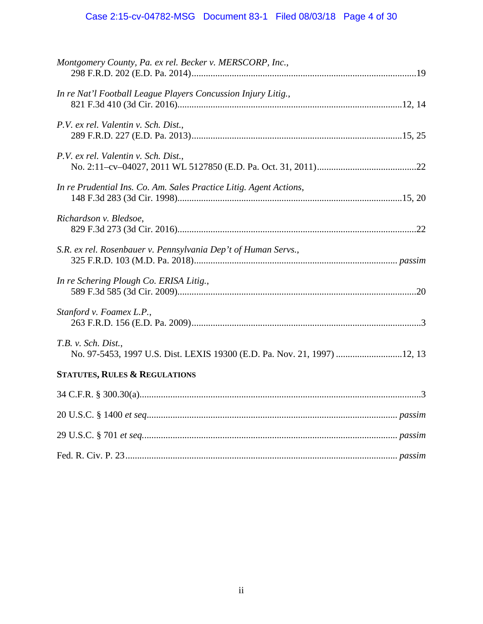# Case 2:15-cv-04782-MSG Document 83-1 Filed 08/03/18 Page 4 of 30

| Montgomery County, Pa. ex rel. Becker v. MERSCORP, Inc.,                                         |
|--------------------------------------------------------------------------------------------------|
| In re Nat'l Football League Players Concussion Injury Litig.,                                    |
| P.V. ex rel. Valentin v. Sch. Dist.,                                                             |
| P.V. ex rel. Valentin v. Sch. Dist.,                                                             |
| In re Prudential Ins. Co. Am. Sales Practice Litig. Agent Actions,                               |
| Richardson v. Bledsoe,                                                                           |
| S.R. ex rel. Rosenbauer v. Pennsylvania Dep't of Human Servs.,                                   |
| In re Schering Plough Co. ERISA Litig.,                                                          |
| Stanford v. Foamex L.P.,                                                                         |
| T.B. v. Sch. Dist.,<br>No. 97-5453, 1997 U.S. Dist. LEXIS 19300 (E.D. Pa. Nov. 21, 1997)  12, 13 |
| <b>STATUTES, RULES &amp; REGULATIONS</b>                                                         |
|                                                                                                  |
|                                                                                                  |
|                                                                                                  |
|                                                                                                  |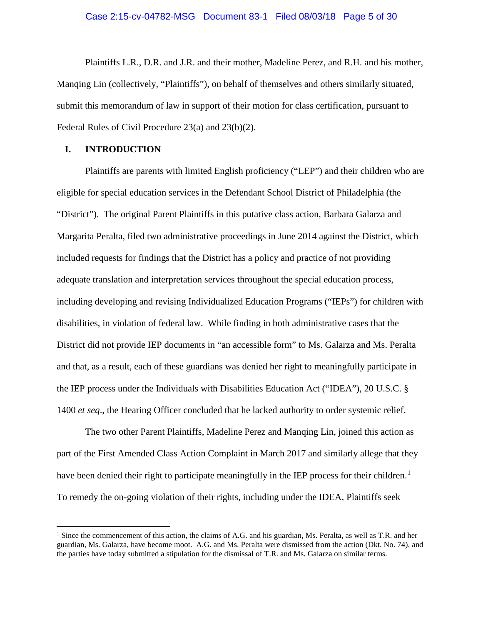#### Case 2:15-cv-04782-MSG Document 83-1 Filed 08/03/18 Page 5 of 30

Plaintiffs L.R., D.R. and J.R. and their mother, Madeline Perez, and R.H. and his mother, Manqing Lin (collectively, "Plaintiffs"), on behalf of themselves and others similarly situated, submit this memorandum of law in support of their motion for class certification, pursuant to Federal Rules of Civil Procedure 23(a) and 23(b)(2).

## <span id="page-4-1"></span>**I. INTRODUCTION**

Plaintiffs are parents with limited English proficiency ("LEP") and their children who are eligible for special education services in the Defendant School District of Philadelphia (the "District"). The original Parent Plaintiffs in this putative class action, Barbara Galarza and Margarita Peralta, filed two administrative proceedings in June 2014 against the District, which included requests for findings that the District has a policy and practice of not providing adequate translation and interpretation services throughout the special education process, including developing and revising Individualized Education Programs ("IEPs") for children with disabilities, in violation of federal law. While finding in both administrative cases that the District did not provide IEP documents in "an accessible form" to Ms. Galarza and Ms. Peralta and that, as a result, each of these guardians was denied her right to meaningfully participate in the IEP process under the Individuals with Disabilities Education Act ("IDEA"), 20 U.S.C. § 1400 *et seq*., the Hearing Officer concluded that he lacked authority to order systemic relief.

<span id="page-4-0"></span>The two other Parent Plaintiffs, Madeline Perez and Manqing Lin, joined this action as part of the First Amended Class Action Complaint in March 2017 and similarly allege that they have been denied their right to participate meaningfully in the IEP process for their children.<sup>[1](#page-4-2)</sup> To remedy the on-going violation of their rights, including under the IDEA, Plaintiffs seek

<span id="page-4-2"></span><sup>&</sup>lt;sup>1</sup> Since the commencement of this action, the claims of A.G. and his guardian, Ms. Peralta, as well as T.R. and her guardian, Ms. Galarza, have become moot. A.G. and Ms. Peralta were dismissed from the action (Dkt. No. 74), and the parties have today submitted a stipulation for the dismissal of T.R. and Ms. Galarza on similar terms.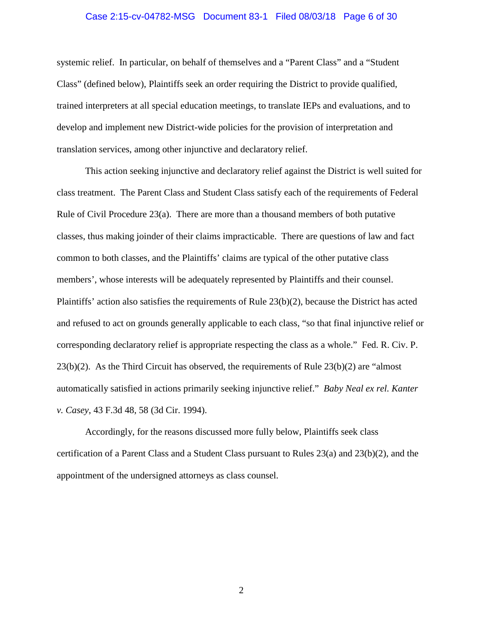#### Case 2:15-cv-04782-MSG Document 83-1 Filed 08/03/18 Page 6 of 30

systemic relief. In particular, on behalf of themselves and a "Parent Class" and a "Student Class" (defined below), Plaintiffs seek an order requiring the District to provide qualified, trained interpreters at all special education meetings, to translate IEPs and evaluations, and to develop and implement new District-wide policies for the provision of interpretation and translation services, among other injunctive and declaratory relief.

This action seeking injunctive and declaratory relief against the District is well suited for class treatment. The Parent Class and Student Class satisfy each of the requirements of Federal Rule of Civil Procedure 23(a). There are more than a thousand members of both putative classes, thus making joinder of their claims impracticable. There are questions of law and fact common to both classes, and the Plaintiffs' claims are typical of the other putative class members', whose interests will be adequately represented by Plaintiffs and their counsel. Plaintiffs' action also satisfies the requirements of Rule 23(b)(2), because the District has acted and refused to act on grounds generally applicable to each class, "so that final injunctive relief or corresponding declaratory relief is appropriate respecting the class as a whole." Fed. R. Civ. P. 23(b)(2). As the Third Circuit has observed, the requirements of Rule 23(b)(2) are "almost automatically satisfied in actions primarily seeking injunctive relief." *Baby Neal ex rel. Kanter v. Casey*, 43 F.3d 48, 58 (3d Cir. 1994).

<span id="page-5-0"></span>Accordingly, for the reasons discussed more fully below, Plaintiffs seek class certification of a Parent Class and a Student Class pursuant to Rules 23(a) and 23(b)(2), and the appointment of the undersigned attorneys as class counsel.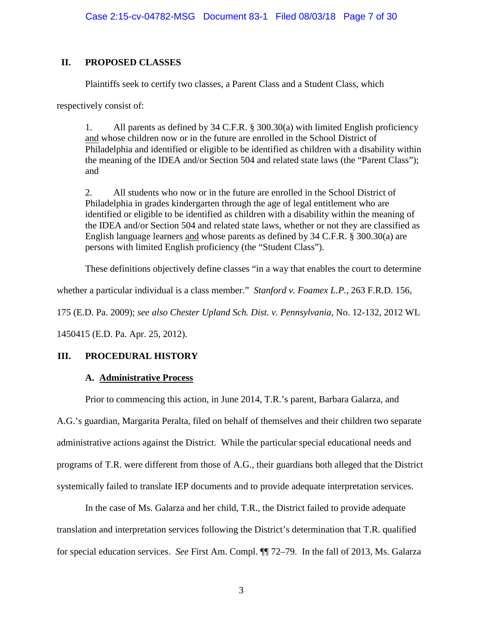# **II. PROPOSED CLASSES**

Plaintiffs seek to certify two classes, a Parent Class and a Student Class, which

respectively consist of:

<span id="page-6-3"></span><span id="page-6-2"></span>1. All parents as defined by 34 C.F.R. § 300.30(a) with limited English proficiency and whose children now or in the future are enrolled in the School District of Philadelphia and identified or eligible to be identified as children with a disability within the meaning of the IDEA and/or Section 504 and related state laws (the "Parent Class"); and

2. All students who now or in the future are enrolled in the School District of Philadelphia in grades kindergarten through the age of legal entitlement who are identified or eligible to be identified as children with a disability within the meaning of the IDEA and/or Section 504 and related state laws, whether or not they are classified as English language learners and whose parents as defined by 34 C.F.R. § 300.30(a) are persons with limited English proficiency (the "Student Class").

<span id="page-6-1"></span><span id="page-6-0"></span>These definitions objectively define classes "in a way that enables the court to determine

whether a particular individual is a class member." *Stanford v. Foamex L.P.*, 263 F.R.D. 156,

175 (E.D. Pa. 2009); *see also Chester Upland Sch. Dist. v. Pennsylvania*, No. 12-132, 2012 WL

1450415 (E.D. Pa. Apr. 25, 2012).

# **III. PROCEDURAL HISTORY**

# **A. Administrative Process**

Prior to commencing this action, in June 2014, T.R.'s parent, Barbara Galarza, and

A.G.'s guardian, Margarita Peralta, filed on behalf of themselves and their children two separate administrative actions against the District. While the particular special educational needs and programs of T.R. were different from those of A.G., their guardians both alleged that the District

In the case of Ms. Galarza and her child, T.R., the District failed to provide adequate translation and interpretation services following the District's determination that T.R. qualified for special education services. *See* First Am. Compl. ¶¶ 72–79. In the fall of 2013, Ms. Galarza

systemically failed to translate IEP documents and to provide adequate interpretation services.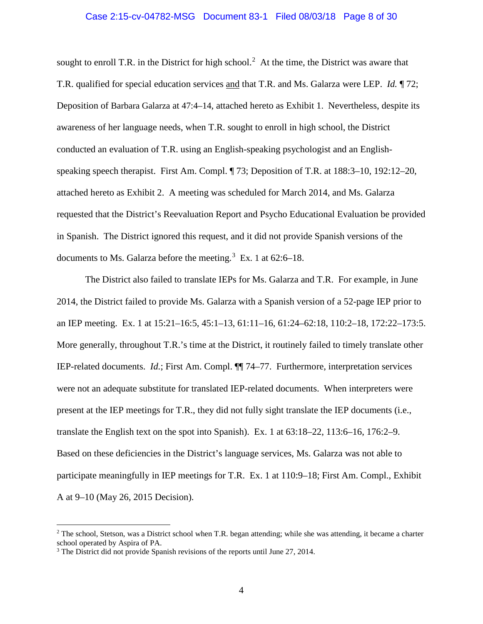#### Case 2:15-cv-04782-MSG Document 83-1 Filed 08/03/18 Page 8 of 30

sought to enroll T.R. in the District for high school.<sup>[2](#page-7-0)</sup> At the time, the District was aware that T.R. qualified for special education services and that T.R. and Ms. Galarza were LEP. *Id.* ¶ 72; Deposition of Barbara Galarza at 47:4–14, attached hereto as Exhibit 1. Nevertheless, despite its awareness of her language needs, when T.R. sought to enroll in high school, the District conducted an evaluation of T.R. using an English-speaking psychologist and an Englishspeaking speech therapist. First Am. Compl. ¶ 73; Deposition of T.R. at 188:3–10, 192:12–20, attached hereto as Exhibit 2. A meeting was scheduled for March 2014, and Ms. Galarza requested that the District's Reevaluation Report and Psycho Educational Evaluation be provided in Spanish. The District ignored this request, and it did not provide Spanish versions of the documents to Ms. Galarza before the meeting.<sup>[3](#page-7-1)</sup> Ex. 1 at  $62:6-18$ .

The District also failed to translate IEPs for Ms. Galarza and T.R. For example, in June 2014, the District failed to provide Ms. Galarza with a Spanish version of a 52-page IEP prior to an IEP meeting. Ex. 1 at 15:21–16:5, 45:1–13, 61:11–16, 61:24–62:18, 110:2–18, 172:22–173:5. More generally, throughout T.R.'s time at the District, it routinely failed to timely translate other IEP-related documents. *Id.*; First Am. Compl. ¶¶ 74–77. Furthermore, interpretation services were not an adequate substitute for translated IEP-related documents. When interpreters were present at the IEP meetings for T.R., they did not fully sight translate the IEP documents (i.e., translate the English text on the spot into Spanish). Ex. 1 at 63:18–22, 113:6–16, 176:2–9. Based on these deficiencies in the District's language services, Ms. Galarza was not able to participate meaningfully in IEP meetings for T.R. Ex. 1 at 110:9–18; First Am. Compl., Exhibit A at 9–10 (May 26, 2015 Decision).

<span id="page-7-0"></span> $2$  The school, Stetson, was a District school when T.R. began attending; while she was attending, it became a charter school operated by Aspira of PA.

<span id="page-7-1"></span><sup>&</sup>lt;sup>3</sup> The District did not provide Spanish revisions of the reports until June 27, 2014.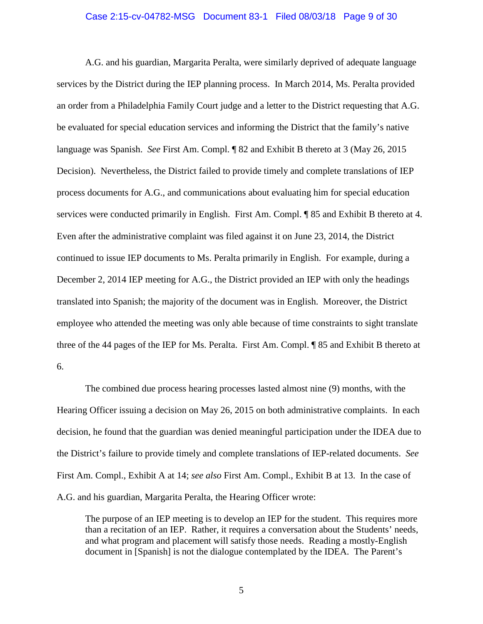#### Case 2:15-cv-04782-MSG Document 83-1 Filed 08/03/18 Page 9 of 30

A.G. and his guardian, Margarita Peralta, were similarly deprived of adequate language services by the District during the IEP planning process. In March 2014, Ms. Peralta provided an order from a Philadelphia Family Court judge and a letter to the District requesting that A.G. be evaluated for special education services and informing the District that the family's native language was Spanish. *See* First Am. Compl. ¶ 82 and Exhibit B thereto at 3 (May 26, 2015 Decision). Nevertheless, the District failed to provide timely and complete translations of IEP process documents for A.G., and communications about evaluating him for special education services were conducted primarily in English. First Am. Compl. ¶ 85 and Exhibit B thereto at 4. Even after the administrative complaint was filed against it on June 23, 2014, the District continued to issue IEP documents to Ms. Peralta primarily in English. For example, during a December 2, 2014 IEP meeting for A.G., the District provided an IEP with only the headings translated into Spanish; the majority of the document was in English. Moreover, the District employee who attended the meeting was only able because of time constraints to sight translate three of the 44 pages of the IEP for Ms. Peralta. First Am. Compl. ¶ 85 and Exhibit B thereto at 6.

The combined due process hearing processes lasted almost nine (9) months, with the Hearing Officer issuing a decision on May 26, 2015 on both administrative complaints. In each decision, he found that the guardian was denied meaningful participation under the IDEA due to the District's failure to provide timely and complete translations of IEP-related documents. *See* First Am. Compl., Exhibit A at 14; *see also* First Am. Compl., Exhibit B at 13. In the case of A.G. and his guardian, Margarita Peralta, the Hearing Officer wrote:

The purpose of an IEP meeting is to develop an IEP for the student. This requires more than a recitation of an IEP. Rather, it requires a conversation about the Students' needs, and what program and placement will satisfy those needs. Reading a mostly-English document in [Spanish] is not the dialogue contemplated by the IDEA. The Parent's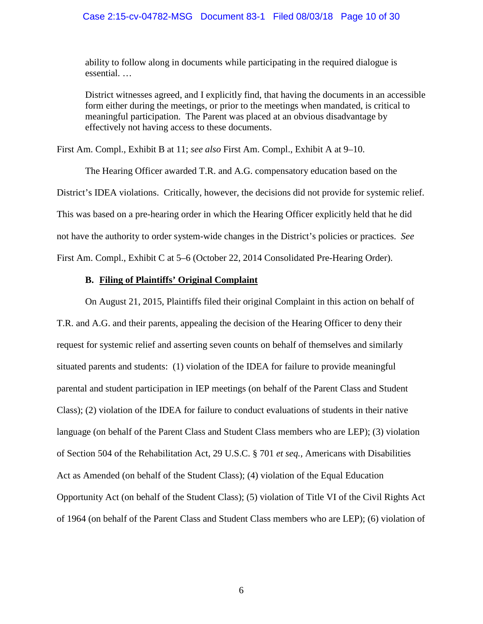#### Case 2:15-cv-04782-MSG Document 83-1 Filed 08/03/18 Page 10 of 30

ability to follow along in documents while participating in the required dialogue is essential. …

District witnesses agreed, and I explicitly find, that having the documents in an accessible form either during the meetings, or prior to the meetings when mandated, is critical to meaningful participation. The Parent was placed at an obvious disadvantage by effectively not having access to these documents.

First Am. Compl., Exhibit B at 11; *see also* First Am. Compl., Exhibit A at 9–10.

The Hearing Officer awarded T.R. and A.G. compensatory education based on the District's IDEA violations. Critically, however, the decisions did not provide for systemic relief. This was based on a pre-hearing order in which the Hearing Officer explicitly held that he did not have the authority to order system-wide changes in the District's policies or practices. *See* First Am. Compl., Exhibit C at 5–6 (October 22, 2014 Consolidated Pre-Hearing Order).

#### **B. Filing of Plaintiffs' Original Complaint**

On August 21, 2015, Plaintiffs filed their original Complaint in this action on behalf of T.R. and A.G. and their parents, appealing the decision of the Hearing Officer to deny their request for systemic relief and asserting seven counts on behalf of themselves and similarly situated parents and students: (1) violation of the IDEA for failure to provide meaningful parental and student participation in IEP meetings (on behalf of the Parent Class and Student Class); (2) violation of the IDEA for failure to conduct evaluations of students in their native language (on behalf of the Parent Class and Student Class members who are LEP); (3) violation of Section 504 of the Rehabilitation Act, 29 U.S.C. § 701 *et seq.*, Americans with Disabilities Act as Amended (on behalf of the Student Class); (4) violation of the Equal Education Opportunity Act (on behalf of the Student Class); (5) violation of Title VI of the Civil Rights Act of 1964 (on behalf of the Parent Class and Student Class members who are LEP); (6) violation of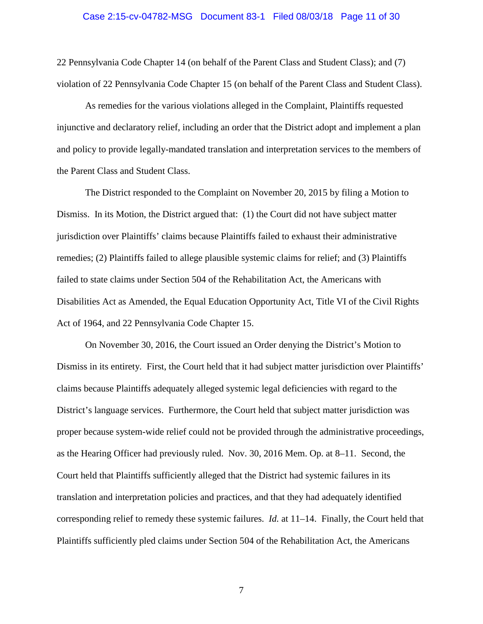#### Case 2:15-cv-04782-MSG Document 83-1 Filed 08/03/18 Page 11 of 30

22 Pennsylvania Code Chapter 14 (on behalf of the Parent Class and Student Class); and (7) violation of 22 Pennsylvania Code Chapter 15 (on behalf of the Parent Class and Student Class).

As remedies for the various violations alleged in the Complaint, Plaintiffs requested injunctive and declaratory relief, including an order that the District adopt and implement a plan and policy to provide legally-mandated translation and interpretation services to the members of the Parent Class and Student Class.

The District responded to the Complaint on November 20, 2015 by filing a Motion to Dismiss. In its Motion, the District argued that: (1) the Court did not have subject matter jurisdiction over Plaintiffs' claims because Plaintiffs failed to exhaust their administrative remedies; (2) Plaintiffs failed to allege plausible systemic claims for relief; and (3) Plaintiffs failed to state claims under Section 504 of the Rehabilitation Act, the Americans with Disabilities Act as Amended, the Equal Education Opportunity Act, Title VI of the Civil Rights Act of 1964, and 22 Pennsylvania Code Chapter 15.

On November 30, 2016, the Court issued an Order denying the District's Motion to Dismiss in its entirety. First, the Court held that it had subject matter jurisdiction over Plaintiffs' claims because Plaintiffs adequately alleged systemic legal deficiencies with regard to the District's language services. Furthermore, the Court held that subject matter jurisdiction was proper because system-wide relief could not be provided through the administrative proceedings, as the Hearing Officer had previously ruled. Nov. 30, 2016 Mem. Op. at 8–11. Second, the Court held that Plaintiffs sufficiently alleged that the District had systemic failures in its translation and interpretation policies and practices, and that they had adequately identified corresponding relief to remedy these systemic failures. *Id.* at 11–14. Finally, the Court held that Plaintiffs sufficiently pled claims under Section 504 of the Rehabilitation Act, the Americans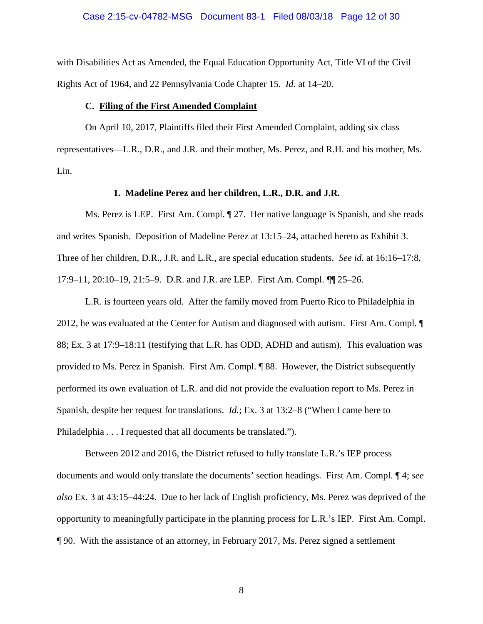#### Case 2:15-cv-04782-MSG Document 83-1 Filed 08/03/18 Page 12 of 30

with Disabilities Act as Amended, the Equal Education Opportunity Act, Title VI of the Civil Rights Act of 1964, and 22 Pennsylvania Code Chapter 15. *Id.* at 14–20.

#### **C. Filing of the First Amended Complaint**

On April 10, 2017, Plaintiffs filed their First Amended Complaint, adding six class representatives—L.R., D.R., and J.R. and their mother, Ms. Perez, and R.H. and his mother, Ms. Lin.

#### **1. Madeline Perez and her children, L.R., D.R. and J.R.**

Ms. Perez is LEP. First Am. Compl. ¶ 27. Her native language is Spanish, and she reads and writes Spanish. Deposition of Madeline Perez at 13:15–24, attached hereto as Exhibit 3. Three of her children, D.R., J.R. and L.R., are special education students. *See id.* at 16:16–17:8, 17:9–11, 20:10–19, 21:5–9. D.R. and J.R. are LEP. First Am. Compl. ¶¶ 25–26.

L.R. is fourteen years old. After the family moved from Puerto Rico to Philadelphia in 2012, he was evaluated at the Center for Autism and diagnosed with autism. First Am. Compl. ¶ 88; Ex. 3 at 17:9–18:11 (testifying that L.R. has ODD, ADHD and autism). This evaluation was provided to Ms. Perez in Spanish. First Am. Compl. ¶ 88. However, the District subsequently performed its own evaluation of L.R. and did not provide the evaluation report to Ms. Perez in Spanish, despite her request for translations. *Id.*; Ex. 3 at 13:2–8 ("When I came here to Philadelphia . . . I requested that all documents be translated.").

Between 2012 and 2016, the District refused to fully translate L.R.'s IEP process documents and would only translate the documents' section headings. First Am. Compl. ¶ 4; *see also* Ex. 3 at 43:15–44:24. Due to her lack of English proficiency, Ms. Perez was deprived of the opportunity to meaningfully participate in the planning process for L.R.'s IEP. First Am. Compl. ¶ 90. With the assistance of an attorney, in February 2017, Ms. Perez signed a settlement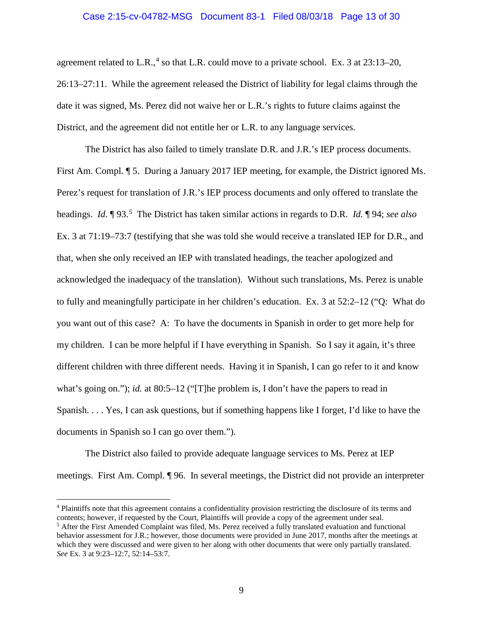#### Case 2:15-cv-04782-MSG Document 83-1 Filed 08/03/18 Page 13 of 30

agreement related to L.R.,<sup>[4](#page-12-0)</sup> so that L.R. could move to a private school. Ex. 3 at  $23:13-20$ , 26:13–27:11. While the agreement released the District of liability for legal claims through the date it was signed, Ms. Perez did not waive her or L.R.'s rights to future claims against the District, and the agreement did not entitle her or L.R. to any language services.

The District has also failed to timely translate D.R. and J.R.'s IEP process documents. First Am. Compl. ¶ 5. During a January 2017 IEP meeting, for example, the District ignored Ms. Perez's request for translation of J.R.'s IEP process documents and only offered to translate the headings. *Id.* 193.<sup>[5](#page-12-1)</sup> The District has taken similar actions in regards to D.R. *Id.* 194; *see also* Ex. 3 at 71:19–73:7 (testifying that she was told she would receive a translated IEP for D.R., and that, when she only received an IEP with translated headings, the teacher apologized and acknowledged the inadequacy of the translation). Without such translations, Ms. Perez is unable to fully and meaningfully participate in her children's education. Ex. 3 at 52:2–12 ("Q: What do you want out of this case? A: To have the documents in Spanish in order to get more help for my children. I can be more helpful if I have everything in Spanish. So I say it again, it's three different children with three different needs. Having it in Spanish, I can go refer to it and know what's going on."); *id.* at 80:5–12 ("[T]he problem is, I don't have the papers to read in Spanish. . . . Yes, I can ask questions, but if something happens like I forget, I'd like to have the documents in Spanish so I can go over them.").

The District also failed to provide adequate language services to Ms. Perez at IEP meetings. First Am. Compl. ¶ 96. In several meetings, the District did not provide an interpreter

<span id="page-12-0"></span><sup>&</sup>lt;sup>4</sup> Plaintiffs note that this agreement contains a confidentiality provision restricting the disclosure of its terms and contents; however, if requested by the Court, Plaintiffs will provide a copy of the agreement under seal.

<span id="page-12-1"></span><sup>5</sup> After the First Amended Complaint was filed, Ms. Perez received a fully translated evaluation and functional behavior assessment for J.R.; however, those documents were provided in June 2017, months after the meetings at which they were discussed and were given to her along with other documents that were only partially translated. *See* Ex. 3 at 9:23–12:7, 52:14–53:7.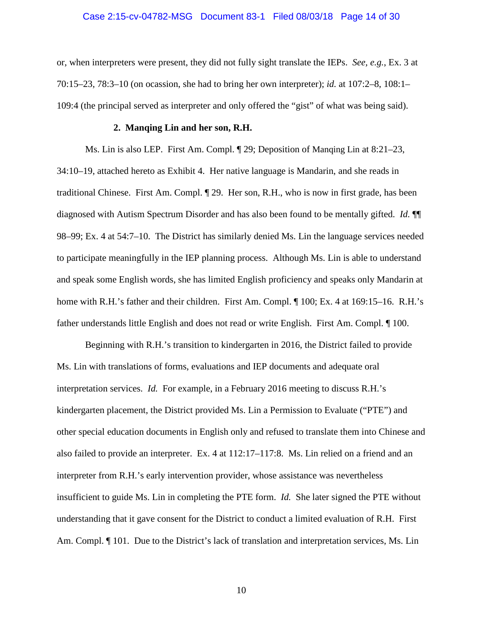#### Case 2:15-cv-04782-MSG Document 83-1 Filed 08/03/18 Page 14 of 30

or, when interpreters were present, they did not fully sight translate the IEPs. *See, e.g.*, Ex. 3 at 70:15–23, 78:3–10 (on ocassion, she had to bring her own interpreter); *id.* at 107:2–8, 108:1– 109:4 (the principal served as interpreter and only offered the "gist" of what was being said).

#### **2. Manqing Lin and her son, R.H.**

Ms. Lin is also LEP. First Am. Compl. ¶ 29; Deposition of Manqing Lin at 8:21–23, 34:10–19, attached hereto as Exhibit 4. Her native language is Mandarin, and she reads in traditional Chinese. First Am. Compl. ¶ 29. Her son, R.H., who is now in first grade, has been diagnosed with Autism Spectrum Disorder and has also been found to be mentally gifted. *Id.* ¶¶ 98–99; Ex. 4 at 54:7–10. The District has similarly denied Ms. Lin the language services needed to participate meaningfully in the IEP planning process. Although Ms. Lin is able to understand and speak some English words, she has limited English proficiency and speaks only Mandarin at home with R.H.'s father and their children. First Am. Compl.  $\parallel$  100; Ex. 4 at 169:15–16. R.H.'s father understands little English and does not read or write English. First Am. Compl. ¶ 100.

Beginning with R.H.'s transition to kindergarten in 2016, the District failed to provide Ms. Lin with translations of forms, evaluations and IEP documents and adequate oral interpretation services. *Id.* For example, in a February 2016 meeting to discuss R.H.'s kindergarten placement, the District provided Ms. Lin a Permission to Evaluate ("PTE") and other special education documents in English only and refused to translate them into Chinese and also failed to provide an interpreter. Ex. 4 at 112:17–117:8. Ms. Lin relied on a friend and an interpreter from R.H.'s early intervention provider, whose assistance was nevertheless insufficient to guide Ms. Lin in completing the PTE form. *Id.* She later signed the PTE without understanding that it gave consent for the District to conduct a limited evaluation of R.H. First Am. Compl.  $\P$  101. Due to the District's lack of translation and interpretation services, Ms. Lin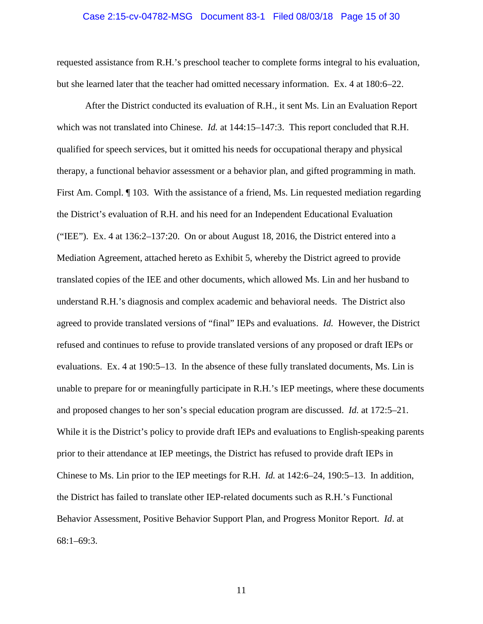#### Case 2:15-cv-04782-MSG Document 83-1 Filed 08/03/18 Page 15 of 30

requested assistance from R.H.'s preschool teacher to complete forms integral to his evaluation, but she learned later that the teacher had omitted necessary information. Ex. 4 at 180:6–22.

After the District conducted its evaluation of R.H., it sent Ms. Lin an Evaluation Report which was not translated into Chinese. *Id.* at 144:15–147:3. This report concluded that R.H. qualified for speech services, but it omitted his needs for occupational therapy and physical therapy, a functional behavior assessment or a behavior plan, and gifted programming in math. First Am. Compl. ¶ 103. With the assistance of a friend, Ms. Lin requested mediation regarding the District's evaluation of R.H. and his need for an Independent Educational Evaluation ("IEE"). Ex. 4 at 136:2–137:20. On or about August 18, 2016, the District entered into a Mediation Agreement, attached hereto as Exhibit 5, whereby the District agreed to provide translated copies of the IEE and other documents, which allowed Ms. Lin and her husband to understand R.H.'s diagnosis and complex academic and behavioral needs. The District also agreed to provide translated versions of "final" IEPs and evaluations. *Id.* However, the District refused and continues to refuse to provide translated versions of any proposed or draft IEPs or evaluations. Ex. 4 at 190:5–13. In the absence of these fully translated documents, Ms. Lin is unable to prepare for or meaningfully participate in R.H.'s IEP meetings, where these documents and proposed changes to her son's special education program are discussed. *Id.* at 172:5–21. While it is the District's policy to provide draft IEPs and evaluations to English-speaking parents prior to their attendance at IEP meetings, the District has refused to provide draft IEPs in Chinese to Ms. Lin prior to the IEP meetings for R.H. *Id.* at 142:6–24, 190:5–13. In addition, the District has failed to translate other IEP-related documents such as R.H.'s Functional Behavior Assessment, Positive Behavior Support Plan, and Progress Monitor Report. *Id*. at 68:1–69:3.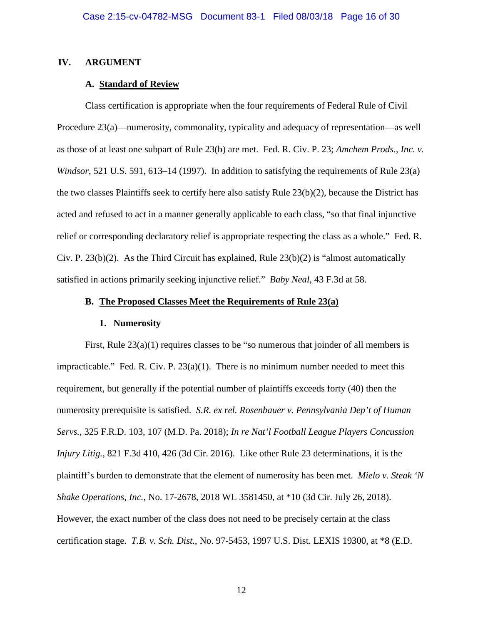## **IV. ARGUMENT**

#### <span id="page-15-0"></span>**A. Standard of Review**

Class certification is appropriate when the four requirements of Federal Rule of Civil Procedure 23(a)—numerosity, commonality, typicality and adequacy of representation—as well as those of at least one subpart of Rule 23(b) are met. Fed. R. Civ. P. 23; *Amchem Prods., Inc. v. Windsor*, 521 U.S. 591, 613–14 (1997). In addition to satisfying the requirements of Rule 23(a) the two classes Plaintiffs seek to certify here also satisfy Rule 23(b)(2), because the District has acted and refused to act in a manner generally applicable to each class, "so that final injunctive relief or corresponding declaratory relief is appropriate respecting the class as a whole." Fed. R. Civ. P. 23(b)(2). As the Third Circuit has explained, Rule  $23(b)(2)$  is "almost automatically satisfied in actions primarily seeking injunctive relief." *Baby Neal*, 43 F.3d at 58.

#### **B. The Proposed Classes Meet the Requirements of Rule 23(a)**

#### <span id="page-15-3"></span><span id="page-15-2"></span><span id="page-15-1"></span>**1. Numerosity**

<span id="page-15-4"></span>First, Rule 23(a)(1) requires classes to be "so numerous that joinder of all members is impracticable." Fed. R. Civ. P.  $23(a)(1)$ . There is no minimum number needed to meet this requirement, but generally if the potential number of plaintiffs exceeds forty (40) then the numerosity prerequisite is satisfied. *S.R. ex rel. Rosenbauer v. Pennsylvania Dep't of Human Servs.*, 325 F.R.D. 103, 107 (M.D. Pa. 2018); *In re Nat'l Football League Players Concussion Injury Litig.*, 821 F.3d 410, 426 (3d Cir. 2016). Like other Rule 23 determinations, it is the plaintiff's burden to demonstrate that the element of numerosity has been met. *Mielo v. Steak 'N Shake Operations, Inc.*, No. 17-2678, 2018 WL 3581450, at \*10 (3d Cir. July 26, 2018). However, the exact number of the class does not need to be precisely certain at the class certification stage. *T.B. v. Sch. Dist.*, No. 97-5453, 1997 U.S. Dist. LEXIS 19300, at \*8 (E.D.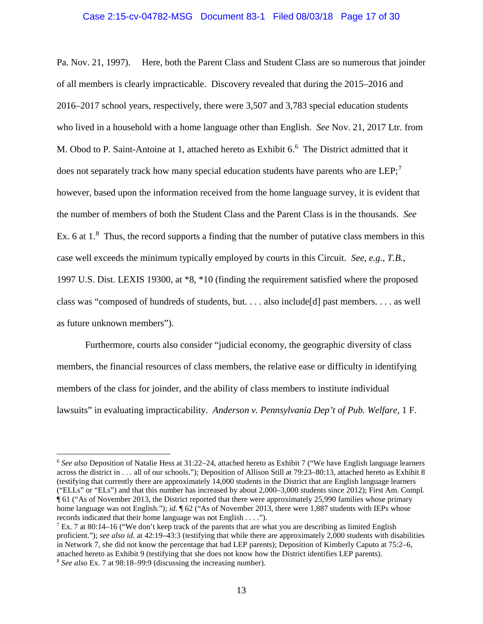#### Case 2:15-cv-04782-MSG Document 83-1 Filed 08/03/18 Page 17 of 30

Pa. Nov. 21, 1997). Here, both the Parent Class and Student Class are so numerous that joinder of all members is clearly impracticable. Discovery revealed that during the 2015–2016 and 2016–2017 school years, respectively, there were 3,507 and 3,783 special education students who lived in a household with a home language other than English. *See* Nov. 21, 2017 Ltr. from M. Obod to P. Saint-Antoine at 1, attached hereto as Exhibit 6. [6](#page-16-2) The District admitted that it does not separately track how many special education students have parents who are  $LEP$ ;<sup>[7](#page-16-3)</sup> however, based upon the information received from the home language survey, it is evident that the number of members of both the Student Class and the Parent Class is in the thousands. *See*  Ex. 6 at  $1.^8$  $1.^8$  Thus, the record supports a finding that the number of putative class members in this case well exceeds the minimum typically employed by courts in this Circuit. *See, e.g.*, *T.B.*, 1997 U.S. Dist. LEXIS 19300, at \*8, \*10 (finding the requirement satisfied where the proposed class was "composed of hundreds of students, but. . . . also include[d] past members. . . . as well as future unknown members").

<span id="page-16-1"></span>Furthermore, courts also consider "judicial economy, the geographic diversity of class members, the financial resources of class members, the relative ease or difficulty in identifying members of the class for joinder, and the ability of class members to institute individual lawsuits" in evaluating impracticability. *Anderson v. Pennsylvania Dep't of Pub. Welfare*, 1 F.

<span id="page-16-2"></span><span id="page-16-0"></span> <sup>6</sup> *See also* Deposition of Natalie Hess at 31:22–24, attached hereto as Exhibit 7 ("We have English language learners across the district in . . . all of our schools."); Deposition of Allison Still at 79:23–80:13, attached hereto as Exhibit 8 (testifying that currently there are approximately 14,000 students in the District that are English language learners ("ELLs" or "ELs") and that this number has increased by about 2,000–3,000 students since 2012); First Am. Compl. ¶ 61 ("As of November 2013, the District reported that there were approximately 25,990 families whose primary home language was not English."); *id.*  $\sqrt{62}$  ("As of November 2013, there were 1,887 students with IEPs whose records indicated that their home language was not English . . . .").

<span id="page-16-4"></span><span id="page-16-3"></span> $7$  Ex. 7 at 80:14–16 ("We don't keep track of the parents that are what you are describing as limited English proficient."); *see also id.* at 42:19–43:3 (testifying that while there are approximately 2,000 students with disabilities in Network 7, she did not know the percentage that had LEP parents); Deposition of Kimberly Caputo at 75:2–6, attached hereto as Exhibit 9 (testifying that she does not know how the District identifies LEP parents). <sup>8</sup> *See also* Ex. 7 at 98:18–99:9 (discussing the increasing number).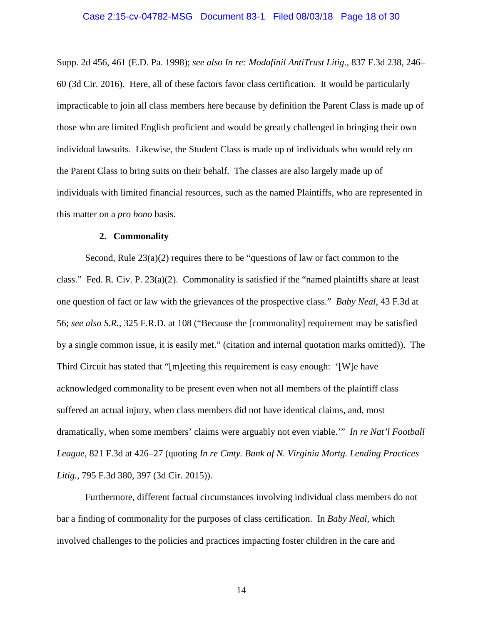<span id="page-17-1"></span>Supp. 2d 456, 461 (E.D. Pa. 1998); *see also In re: Modafinil AntiTrust Litig*., 837 F.3d 238, 246– 60 (3d Cir. 2016). Here, all of these factors favor class certification. It would be particularly impracticable to join all class members here because by definition the Parent Class is made up of those who are limited English proficient and would be greatly challenged in bringing their own individual lawsuits. Likewise, the Student Class is made up of individuals who would rely on the Parent Class to bring suits on their behalf. The classes are also largely made up of individuals with limited financial resources, such as the named Plaintiffs, who are represented in this matter on a *pro bono* basis.

#### **2. Commonality**

Second, Rule  $23(a)(2)$  requires there to be "questions of law or fact common to the class." Fed. R. Civ. P. 23(a)(2).Commonality is satisfied if the "named plaintiffs share at least one question of fact or law with the grievances of the prospective class." *Baby Neal*, 43 F.3d at 56; *see also S.R.*, 325 F.R.D. at 108 ("Because the [commonality] requirement may be satisfied by a single common issue, it is easily met." (citation and internal quotation marks omitted)). The Third Circuit has stated that "[m]eeting this requirement is easy enough: '[W]e have acknowledged commonality to be present even when not all members of the plaintiff class suffered an actual injury, when class members did not have identical claims, and, most dramatically, when some members' claims were arguably not even viable.'" *In re Nat'l Football League*, 821 F.3d at 426–27 (quoting *In re Cmty. Bank of N. Virginia Mortg. Lending Practices Litig.*, 795 F.3d 380, 397 (3d Cir. 2015)).

<span id="page-17-2"></span><span id="page-17-0"></span>Furthermore, different factual circumstances involving individual class members do not bar a finding of commonality for the purposes of class certification. In *Baby Neal*, which involved challenges to the policies and practices impacting foster children in the care and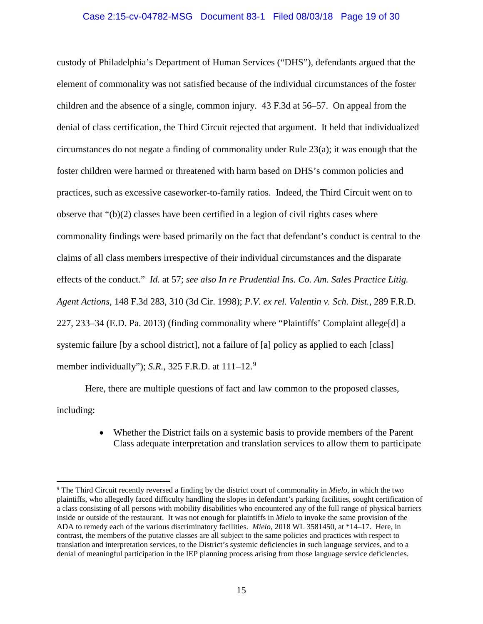## Case 2:15-cv-04782-MSG Document 83-1 Filed 08/03/18 Page 19 of 30

custody of Philadelphia's Department of Human Services ("DHS"), defendants argued that the element of commonality was not satisfied because of the individual circumstances of the foster children and the absence of a single, common injury. 43 F.3d at 56–57. On appeal from the denial of class certification, the Third Circuit rejected that argument. It held that individualized circumstances do not negate a finding of commonality under Rule 23(a); it was enough that the foster children were harmed or threatened with harm based on DHS's common policies and practices, such as excessive caseworker-to-family ratios. Indeed, the Third Circuit went on to observe that "(b)(2) classes have been certified in a legion of civil rights cases where commonality findings were based primarily on the fact that defendant's conduct is central to the claims of all class members irrespective of their individual circumstances and the disparate effects of the conduct." *Id.* at 57; *see also In re Prudential Ins. Co. Am. Sales Practice Litig. Agent Actions*, 148 F.3d 283, 310 (3d Cir. 1998); *P.V. ex rel. Valentin v. Sch. Dist.*, 289 F.R.D. 227, 233–34 (E.D. Pa. 2013) (finding commonality where "Plaintiffs' Complaint allege[d] a systemic failure [by a school district], not a failure of [a] policy as applied to each [class] member individually"); *S.R.*, 325 F.R.D. at 111–12. [9](#page-18-3)

Here, there are multiple questions of fact and law common to the proposed classes, including:

> <span id="page-18-2"></span><span id="page-18-1"></span><span id="page-18-0"></span>• Whether the District fails on a systemic basis to provide members of the Parent Class adequate interpretation and translation services to allow them to participate

<span id="page-18-3"></span> <sup>9</sup> The Third Circuit recently reversed a finding by the district court of commonality in *Mielo*, in which the two plaintiffs, who allegedly faced difficulty handling the slopes in defendant's parking facilities, sought certification of a class consisting of all persons with mobility disabilities who encountered any of the full range of physical barriers inside or outside of the restaurant. It was not enough for plaintiffs in *Mielo* to invoke the same provision of the ADA to remedy each of the various discriminatory facilities. *Mielo*, 2018 WL 3581450, at \*14–17. Here, in contrast, the members of the putative classes are all subject to the same policies and practices with respect to translation and interpretation services, to the District's systemic deficiencies in such language services, and to a denial of meaningful participation in the IEP planning process arising from those language service deficiencies.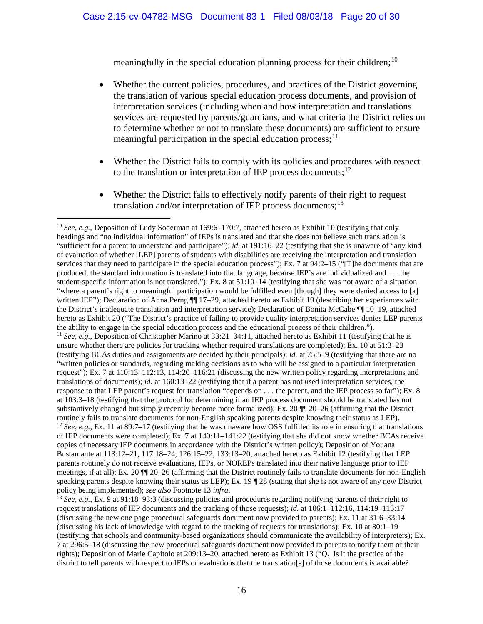meaningfully in the special education planning process for their children;<sup>[10](#page-19-0)</sup>

- Whether the current policies, procedures, and practices of the District governing the translation of various special education process documents, and provision of interpretation services (including when and how interpretation and translations services are requested by parents/guardians, and what criteria the District relies on to determine whether or not to translate these documents) are sufficient to ensure meaningful participation in the special education process;<sup>[11](#page-19-1)</sup>
- Whether the District fails to comply with its policies and procedures with respect to the translation or interpretation of IEP process documents; $^{12}$  $^{12}$  $^{12}$
- Whether the District fails to effectively notify parents of their right to request translation and/or interpretation of IEP process documents; $^{13}$  $^{13}$  $^{13}$

<span id="page-19-3"></span><span id="page-19-2"></span><sup>13</sup> *See, e.g.*, Ex. 9 at 91:18–93:3 (discussing policies and procedures regarding notifying parents of their right to request translations of IEP documents and the tracking of those requests); *id.* at 106:1–112:16, 114:19–115:17 (discussing the new one page procedural safeguards document now provided to parents); Ex. 11 at 31:6–33:14 (discussing his lack of knowledge with regard to the tracking of requests for translations); Ex. 10 at 80:1–19 (testifying that schools and community-based organizations should communicate the availability of interpreters); Ex. 7 at 296:5–18 (discussing the new procedural safeguards document now provided to parents to notify them of their rights); Deposition of Marie Capitolo at 209:13–20, attached hereto as Exhibit 13 ("Q. Is it the practice of the district to tell parents with respect to IEPs or evaluations that the translation[s] of those documents is available?

<span id="page-19-1"></span><span id="page-19-0"></span><sup>&</sup>lt;sup>10</sup> *See, e.g.*, Deposition of Ludy Soderman at 169:6–170:7, attached hereto as Exhibit 10 (testifying that only headings and "no individual information" of IEPs is translated and that she does not believe such translation is "sufficient for a parent to understand and participate"); *id.* at 191:16–22 (testifying that she is unaware of "any kind of evaluation of whether [LEP] parents of students with disabilities are receiving the interpretation and translation services that they need to participate in the special education process"); Ex. 7 at 94:2–15 ("[T]he documents that are produced, the standard information is translated into that language, because IEP's are individualized and . . . the student-specific information is not translated."); Ex. 8 at 51:10–14 (testifying that she was not aware of a situation "where a parent's right to meaningful participation would be fulfilled even [though] they were denied access to [a] written IEP"); Declaration of Anna Perng  $\P$  17–29, attached hereto as Exhibit 19 (describing her experiences with the District's inadequate translation and interpretation service); Declaration of Bonita McCabe ¶¶ 10–19, attached hereto as Exhibit 20 ("The District's practice of failing to provide quality interpretation services denies LEP parents the ability to engage in the special education process and the educational process of their children."). <sup>11</sup> *See, e.g.*, Deposition of Christopher Marino at 33:21–34:11, attached hereto as Exhibit 11 (testifying that he is unsure whether there are policies for tracking whether required translations are completed); Ex. 10 at 51:3–23 (testifying BCAs duties and assignments are decided by their principals); *id.* at 75:5–9 (testifying that there are no "written policies or standards, regarding making decisions as to who will be assigned to a particular interpretation request"); Ex. 7 at 110:13–112:13, 114:20–116:21 (discussing the new written policy regarding interpretations and translations of documents); *id.* at 160:13–22 (testifying that if a parent has not used interpretation services, the response to that LEP parent's request for translation "depends on . . . the parent, and the IEP process so far"); Ex. 8 at 103:3–18 (testifying that the protocol for determining if an IEP process document should be translated has not substantively changed but simply recently become more formalized); Ex. 20 ¶¶ 20–26 (affirming that the District routinely fails to translate documents for non-English speaking parents despite knowing their status as LEP). <sup>12</sup> *See, e.g.*, Ex. 11 at 89:7–17 (testifying that he was unaware how OSS fulfilled its role in ensuring that translations of IEP documents were completed); Ex. 7 at 140:11–141:22 (testifying that she did not know whether BCAs receive copies of necessary IEP documents in accordance with the District's written policy); Deposition of Youana Bustamante at 113:12–21, 117:18–24, 126:15–22, 133:13–20, attached hereto as Exhibit 12 (testifying that LEP parents routinely do not receive evaluations, IEPs, or NOREPs translated into their native language prior to IEP meetings, if at all); Ex. 20 ¶¶ 20–26 (affirming that the District routinely fails to translate documents for non-English speaking parents despite knowing their status as LEP); Ex. 19  $\degree$  28 (stating that she is not aware of any new District policy being implemented); *see also* Footnote 13 *infra*.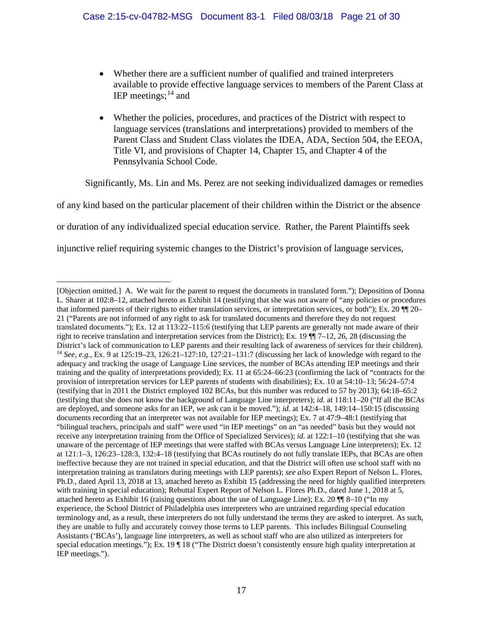- Whether there are a sufficient number of qualified and trained interpreters available to provide effective language services to members of the Parent Class at IEP meetings;  $14$  and
- Whether the policies, procedures, and practices of the District with respect to language services (translations and interpretations) provided to members of the Parent Class and Student Class violates the IDEA, ADA, Section 504, the EEOA, Title VI, and provisions of Chapter 14, Chapter 15, and Chapter 4 of the Pennsylvania School Code.

Significantly, Ms. Lin and Ms. Perez are not seeking individualized damages or remedies

of any kind based on the particular placement of their children within the District or the absence

or duration of any individualized special education service. Rather, the Parent Plaintiffs seek

injunctive relief requiring systemic changes to the District's provision of language services,

<span id="page-20-0"></span> <sup>[</sup>Objection omitted.] A. We wait for the parent to request the documents in translated form."); Deposition of Donna L. Sharer at 102:8–12, attached hereto as Exhibit 14 (testifying that she was not aware of "any policies or procedures that informed parents of their rights to either translation services, or interpretation services, or both"); Ex. 20 ¶¶ 20– 21 ("Parents are not informed of any right to ask for translated documents and therefore they do not request translated documents."); Ex. 12 at 113:22–115:6 (testifying that LEP parents are generally not made aware of their right to receive translation and interpretation services from the District); Ex. 19 ¶¶ 7–12, 26, 28 (discussing the District's lack of communication to LEP parents and their resulting lack of awareness of services for their children). <sup>14</sup> *See, e.g.*, Ex. 9 at 125:19–23, 126:21–127:10, 127:21–131:7 (discussing her lack of knowledge with regard to the adequacy and tracking the usage of Language Line services, the number of BCAs attending IEP meetings and their training and the quality of interpretations provided); Ex. 11 at 65:24–66:23 (confirming the lack of "contracts for the provision of interpretation services for LEP parents of students with disabilities); Ex. 10 at 54:10–13; 56:24–57:4 (testifying that in 2011 the District employed 102 BCAs, but this number was reduced to 57 by 2013); 64:18–65:2 (testifying that she does not know the background of Language Line interpreters); *id.* at 118:11–20 ("If all the BCAs are deployed, and someone asks for an IEP, we ask can it be moved."); *id.* at 142:4–18, 149:14–150:15 (discussing documents recording that an interpreter was not available for IEP meetings); Ex. 7 at 47:9–48:1 (testifying that "bilingual teachers, principals and staff" were used "in IEP meetings" on an "as needed" basis but they would not receive any interpretation training from the Office of Specialized Services); *id.* at 122:1–10 (testifying that she was unaware of the percentage of IEP meetings that were staffed with BCAs versus Language Line interpreters); Ex. 12 at 121:1–3, 126:23–128:3, 132:4–18 (testifying that BCAs routinely do not fully translate IEPs, that BCAs are often ineffective because they are not trained in special education, and that the District will often use school staff with no interpretation training as translators during meetings with LEP parents); *see also* Expert Report of Nelson L. Flores, Ph.D., dated April 13, 2018 at 13, attached hereto as Exhibit 15 (addressing the need for highly qualified interpreters with training in special education); Rebuttal Expert Report of Nelson L. Flores Ph.D., dated June 1, 2018 at 5, attached hereto as Exhibit 16 (raising questions about the use of Language Line); Ex. 20 ¶¶ 8–10 ("In my experience, the School District of Philadelphia uses interpreters who are untrained regarding special education terminology and, as a result, these interpreters do not fully understand the terms they are asked to interpret. As such, they are unable to fully and accurately convey those terms to LEP parents. This includes Bilingual Counseling Assistants ('BCAs'), language line interpreters, as well as school staff who are also utilized as interpreters for special education meetings."); Ex. 19  $\P$  18 ("The District doesn't consistently ensure high quality interpretation at IEP meetings.").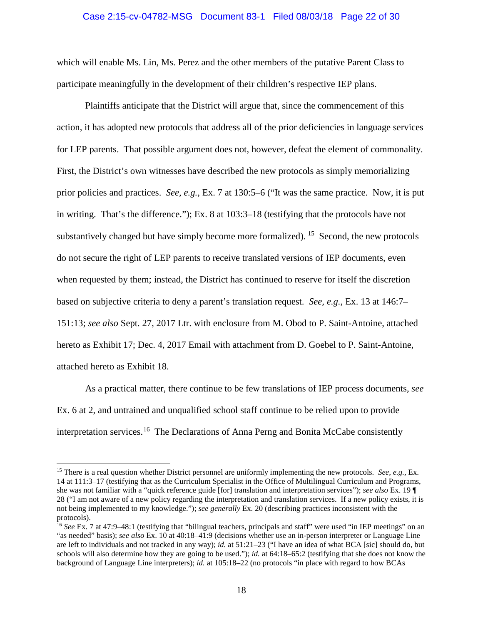#### Case 2:15-cv-04782-MSG Document 83-1 Filed 08/03/18 Page 22 of 30

which will enable Ms. Lin, Ms. Perez and the other members of the putative Parent Class to participate meaningfully in the development of their children's respective IEP plans.

Plaintiffs anticipate that the District will argue that, since the commencement of this action, it has adopted new protocols that address all of the prior deficiencies in language services for LEP parents. That possible argument does not, however, defeat the element of commonality. First, the District's own witnesses have described the new protocols as simply memorializing prior policies and practices. *See, e.g.*, Ex. 7 at 130:5–6 ("It was the same practice. Now, it is put in writing. That's the difference."); Ex. 8 at 103:3–18 (testifying that the protocols have not substantively changed but have simply become more formalized). <sup>[15](#page-21-0)</sup> Second, the new protocols do not secure the right of LEP parents to receive translated versions of IEP documents, even when requested by them; instead, the District has continued to reserve for itself the discretion based on subjective criteria to deny a parent's translation request. *See, e.g.*, Ex. 13 at 146:7– 151:13; *see also* Sept. 27, 2017 Ltr. with enclosure from M. Obod to P. Saint-Antoine, attached hereto as Exhibit 17; Dec. 4, 2017 Email with attachment from D. Goebel to P. Saint-Antoine, attached hereto as Exhibit 18.

As a practical matter, there continue to be few translations of IEP process documents, *see*  Ex. 6 at 2, and untrained and unqualified school staff continue to be relied upon to provide interpretation services.<sup>16</sup> The Declarations of Anna Perng and Bonita McCabe consistently

<span id="page-21-0"></span> <sup>15</sup> There is a real question whether District personnel are uniformly implementing the new protocols. *See, e.g.,* Ex. 14 at 111:3–17 (testifying that as the Curriculum Specialist in the Office of Multilingual Curriculum and Programs, she was not familiar with a "quick reference guide [for] translation and interpretation services"); *see also* Ex. 19 ¶ 28 ("I am not aware of a new policy regarding the interpretation and translation services. If a new policy exists, it is not being implemented to my knowledge."); *see generally* Ex. 20 (describing practices inconsistent with the protocols).

<span id="page-21-1"></span><sup>&</sup>lt;sup>16</sup> See Ex. 7 at 47:9–48:1 (testifying that "bilingual teachers, principals and staff" were used "in IEP meetings" on an "as needed" basis); *see also* Ex. 10 at 40:18–41:9 (decisions whether use an in-person interpreter or Language Line are left to individuals and not tracked in any way); *id.* at 51:21–23 ("I have an idea of what BCA [sic] should do, but schools will also determine how they are going to be used."); *id.* at 64:18–65:2 (testifying that she does not know the background of Language Line interpreters); *id.* at 105:18–22 (no protocols "in place with regard to how BCAs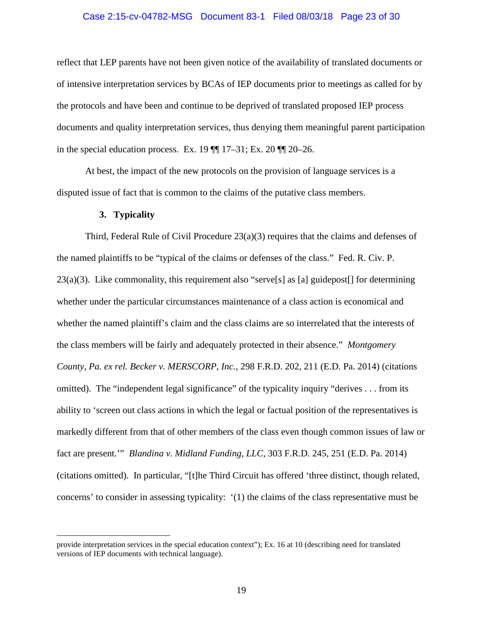#### Case 2:15-cv-04782-MSG Document 83-1 Filed 08/03/18 Page 23 of 30

reflect that LEP parents have not been given notice of the availability of translated documents or of intensive interpretation services by BCAs of IEP documents prior to meetings as called for by the protocols and have been and continue to be deprived of translated proposed IEP process documents and quality interpretation services, thus denying them meaningful parent participation in the special education process. Ex. 19  $\P$  17–31; Ex. 20  $\P$  20–26.

At best, the impact of the new protocols on the provision of language services is a disputed issue of fact that is common to the claims of the putative class members.

#### <span id="page-22-1"></span>**3. Typicality**

Third, Federal Rule of Civil Procedure 23(a)(3) requires that the claims and defenses of the named plaintiffs to be "typical of the claims or defenses of the class." Fed. R. Civ. P. 23(a)(3).Like commonality, this requirement also "serve[s] as [a] guidepost[] for determining whether under the particular circumstances maintenance of a class action is economical and whether the named plaintiff's claim and the class claims are so interrelated that the interests of the class members will be fairly and adequately protected in their absence." *Montgomery County, Pa. ex rel. Becker v. MERSCORP, Inc.*, 298 F.R.D. 202, 211 (E.D. Pa. 2014) (citations omitted). The "independent legal significance" of the typicality inquiry "derives . . . from its ability to 'screen out class actions in which the legal or factual position of the representatives is markedly different from that of other members of the class even though common issues of law or fact are present.'" *Blandina v. Midland Funding, LLC*, 303 F.R.D. 245, 251 (E.D. Pa. 2014) (citations omitted). In particular, "[t]he Third Circuit has offered 'three distinct, though related, concerns' to consider in assessing typicality: '(1) the claims of the class representative must be

<span id="page-22-0"></span>provide interpretation services in the special education context"); Ex. 16 at 10 (describing need for translated versions of IEP documents with technical language).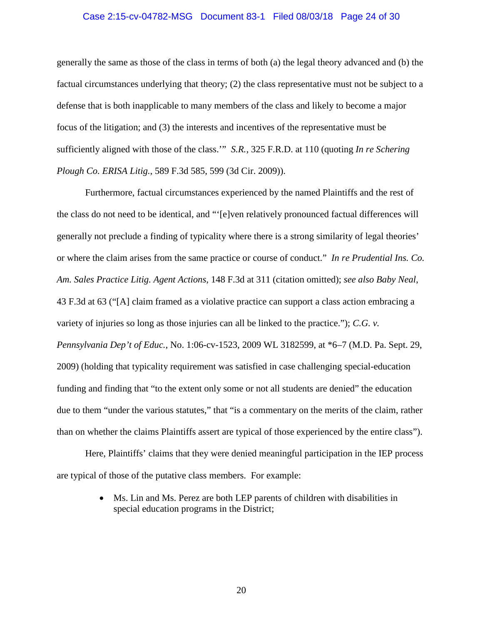#### Case 2:15-cv-04782-MSG Document 83-1 Filed 08/03/18 Page 24 of 30

generally the same as those of the class in terms of both (a) the legal theory advanced and (b) the factual circumstances underlying that theory; (2) the class representative must not be subject to a defense that is both inapplicable to many members of the class and likely to become a major focus of the litigation; and (3) the interests and incentives of the representative must be sufficiently aligned with those of the class.'" *S.R.*, 325 F.R.D. at 110 (quoting *In re Schering Plough Co. ERISA Litig.*, 589 F.3d 585, 599 (3d Cir. 2009)).

<span id="page-23-2"></span><span id="page-23-1"></span>Furthermore, factual circumstances experienced by the named Plaintiffs and the rest of the class do not need to be identical, and "'[e]ven relatively pronounced factual differences will generally not preclude a finding of typicality where there is a strong similarity of legal theories' or where the claim arises from the same practice or course of conduct." *In re Prudential Ins. Co. Am. Sales Practice Litig. Agent Actions*, 148 F.3d at 311 (citation omitted); *see also Baby Neal*, 43 F.3d at 63 ("[A] claim framed as a violative practice can support a class action embracing a variety of injuries so long as those injuries can all be linked to the practice."); *C.G. v. Pennsylvania Dep't of Educ.*, No. 1:06-cv-1523, 2009 WL 3182599, at \*6–7 (M.D. Pa. Sept. 29, 2009) (holding that typicality requirement was satisfied in case challenging special-education funding and finding that "to the extent only some or not all students are denied" the education due to them "under the various statutes," that "is a commentary on the merits of the claim, rather than on whether the claims Plaintiffs assert are typical of those experienced by the entire class").

Here, Plaintiffs' claims that they were denied meaningful participation in the IEP process are typical of those of the putative class members. For example:

> <span id="page-23-0"></span>• Ms. Lin and Ms. Perez are both LEP parents of children with disabilities in special education programs in the District;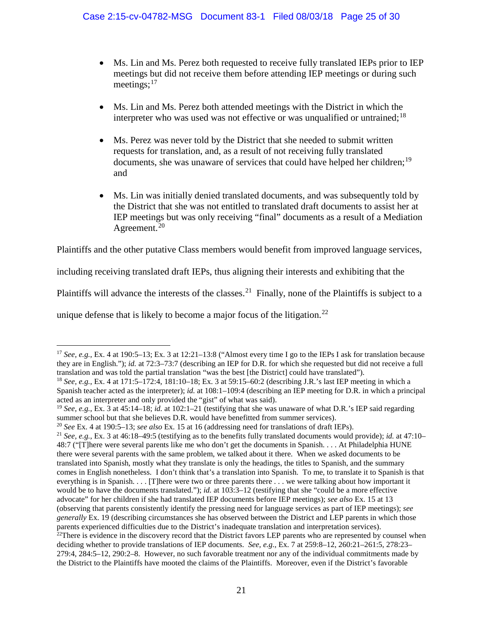- Ms. Lin and Ms. Perez both requested to receive fully translated IEPs prior to IEP meetings but did not receive them before attending IEP meetings or during such meetings;<sup>[17](#page-24-0)</sup>
- Ms. Lin and Ms. Perez both attended meetings with the District in which the interpreter who was used was not effective or was unqualified or untrained:  $18$
- Ms. Perez was never told by the District that she needed to submit written requests for translation, and, as a result of not receiving fully translated documents, she was unaware of services that could have helped her children;<sup>[19](#page-24-2)</sup> and
- Ms. Lin was initially denied translated documents, and was subsequently told by the District that she was not entitled to translated draft documents to assist her at IEP meetings but was only receiving "final" documents as a result of a Mediation Agreement.<sup>[20](#page-24-3)</sup>

Plaintiffs and the other putative Class members would benefit from improved language services,

including receiving translated draft IEPs, thus aligning their interests and exhibiting that the

Plaintiffs will advance the interests of the classes.<sup>[21](#page-24-4)</sup> Finally, none of the Plaintiffs is subject to a

unique defense that is likely to become a major focus of the litigation.<sup>[22](#page-24-5)</sup>

<span id="page-24-0"></span> <sup>17</sup> *See, e.g.*, Ex. 4 at 190:5–13; Ex. 3 at 12:21–13:8 ("Almost every time I go to the IEPs I ask for translation because they are in English."); *id.* at 72:3–73:7 (describing an IEP for D.R. for which she requested but did not receive a full translation and was told the partial translation "was the best [the District] could have translated").

<span id="page-24-1"></span><sup>18</sup> *See, e.g.*, Ex. 4 at 171:5–172:4, 181:10–18; Ex. 3 at 59:15–60:2 (describing J.R.'s last IEP meeting in which a Spanish teacher acted as the interpreter); *id.* at 108:1–109:4 (describing an IEP meeting for D.R. in which a principal acted as an interpreter and only provided the "gist" of what was said).

<span id="page-24-2"></span><sup>19</sup> *See, e.g.*, Ex. 3 at 45:14–18; *id.* at 102:1–21 (testifying that she was unaware of what D.R.'s IEP said regarding summer school but that she believes D.R. would have benefitted from summer services).

<span id="page-24-3"></span><sup>20</sup> *See* Ex. 4 at 190:5–13; *see also* Ex. 15 at 16 (addressing need for translations of draft IEPs).

<span id="page-24-5"></span><span id="page-24-4"></span><sup>21</sup> *See, e.g.*, Ex. 3 at 46:18–49:5 (testifying as to the benefits fully translated documents would provide); *id.* at 47:10– 48:7 ("[T]here were several parents like me who don't get the documents in Spanish. . . . At Philadelphia HUNE there were several parents with the same problem, we talked about it there. When we asked documents to be translated into Spanish, mostly what they translate is only the headings, the titles to Spanish, and the summary comes in English nonetheless. I don't think that's a translation into Spanish. To me, to translate it to Spanish is that everything is in Spanish. . . . [T]here were two or three parents there . . . we were talking about how important it would be to have the documents translated."); *id.* at 103:3–12 (testifying that she "could be a more effective advocate" for her children if she had translated IEP documents before IEP meetings); *see also* Ex. 15 at 13 (observing that parents consistently identify the pressing need for language services as part of IEP meetings); *see generally* Ex. 19 (describing circumstances she has observed between the District and LEP parents in which those parents experienced difficulties due to the District's inadequate translation and interpretation services).  $^{22}$ There is evidence in the discovery record that the District favors LEP parents who are represented by counsel when deciding whether to provide translations of IEP documents. *See, e.g.,* Ex. 7 at 259:8–12, 260:21–261:5, 278:23– 279:4, 284:5–12, 290:2–8. However, no such favorable treatment nor any of the individual commitments made by the District to the Plaintiffs have mooted the claims of the Plaintiffs. Moreover, even if the District's favorable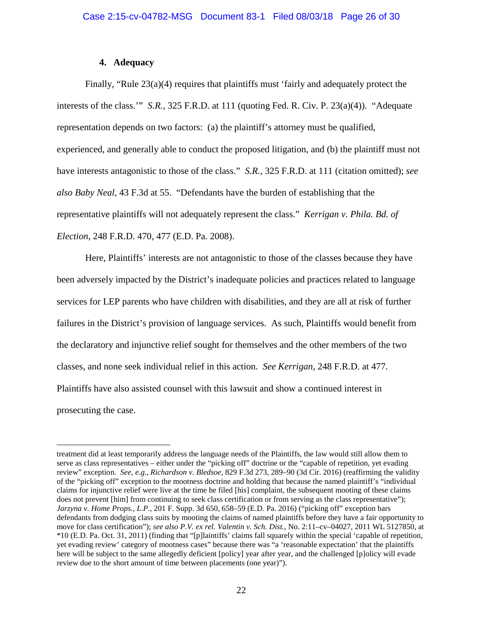## **4. Adequacy**

Finally, "Rule 23(a)(4) requires that plaintiffs must 'fairly and adequately protect the interests of the class.'" *S.R.*, 325 F.R.D. at 111 (quoting Fed. R. Civ. P. 23(a)(4)). "Adequate representation depends on two factors: (a) the plaintiff's attorney must be qualified, experienced, and generally able to conduct the proposed litigation, and (b) the plaintiff must not have interests antagonistic to those of the class." *S.R.*, 325 F.R.D. at 111 (citation omitted); *see also Baby Neal*, 43 F.3d at 55. "Defendants have the burden of establishing that the representative plaintiffs will not adequately represent the class." *Kerrigan v. Phila. Bd. of Election*, 248 F.R.D. 470, 477 (E.D. Pa. 2008).

<span id="page-25-1"></span>Here, Plaintiffs' interests are not antagonistic to those of the classes because they have been adversely impacted by the District's inadequate policies and practices related to language services for LEP parents who have children with disabilities, and they are all at risk of further failures in the District's provision of language services. As such, Plaintiffs would benefit from the declaratory and injunctive relief sought for themselves and the other members of the two classes, and none seek individual relief in this action. *See Kerrigan*, 248 F.R.D. at 477. Plaintiffs have also assisted counsel with this lawsuit and show a continued interest in prosecuting the case.

<span id="page-25-3"></span><span id="page-25-2"></span><span id="page-25-0"></span>treatment did at least temporarily address the language needs of the Plaintiffs, the law would still allow them to serve as class representatives – either under the "picking off" doctrine or the "capable of repetition, yet evading review" exception. *See, e.g.*, *Richardson v. Bledsoe*, 829 F.3d 273, 289–90 (3d Cir. 2016) (reaffirming the validity of the "picking off" exception to the mootness doctrine and holding that because the named plaintiff's "individual claims for injunctive relief were live at the time he filed [his] complaint, the subsequent mooting of these claims does not prevent [him] from continuing to seek class certification or from serving as the class representative"); *Jarzyna v. Home Props., L.P.*, 201 F. Supp. 3d 650, 658–59 (E.D. Pa. 2016) ("picking off" exception bars defendants from dodging class suits by mooting the claims of named plaintiffs before they have a fair opportunity to move for class certification"); *see also P.V. ex rel. Valentin v. Sch. Dist.*, No. 2:11-cv-04027, 2011 WL 5127850, at \*10 (E.D. Pa. Oct. 31, 2011) (finding that "[p]laintiffs' claims fall squarely within the special 'capable of repetition, yet evading review' category of mootness cases" because there was "a 'reasonable expectation' that the plaintiffs here will be subject to the same allegedly deficient [policy] year after year, and the challenged [p]olicy will evade review due to the short amount of time between placements (one year)").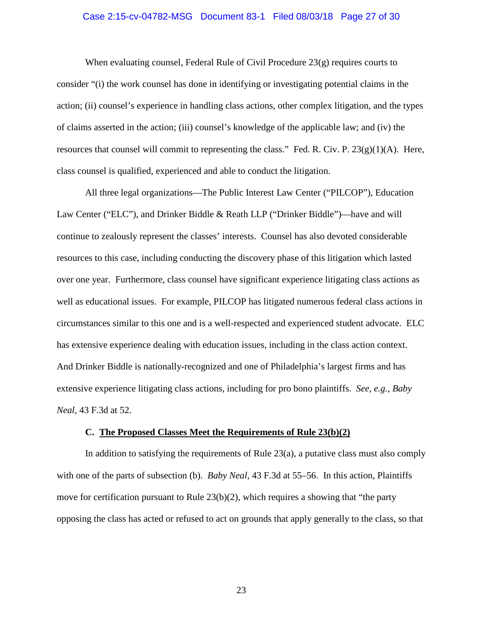#### Case 2:15-cv-04782-MSG Document 83-1 Filed 08/03/18 Page 27 of 30

When evaluating counsel, Federal Rule of Civil Procedure  $23(g)$  requires courts to consider "(i) the work counsel has done in identifying or investigating potential claims in the action; (ii) counsel's experience in handling class actions, other complex litigation, and the types of claims asserted in the action; (iii) counsel's knowledge of the applicable law; and (iv) the resources that counsel will commit to representing the class." Fed. R. Civ. P.  $23(g)(1)(A)$ . Here, class counsel is qualified, experienced and able to conduct the litigation.

All three legal organizations—The Public Interest Law Center ("PILCOP"), Education Law Center ("ELC"), and Drinker Biddle & Reath LLP ("Drinker Biddle")—have and will continue to zealously represent the classes' interests. Counsel has also devoted considerable resources to this case, including conducting the discovery phase of this litigation which lasted over one year. Furthermore, class counsel have significant experience litigating class actions as well as educational issues. For example, PILCOP has litigated numerous federal class actions in circumstances similar to this one and is a well-respected and experienced student advocate. ELC has extensive experience dealing with education issues, including in the class action context. And Drinker Biddle is nationally-recognized and one of Philadelphia's largest firms and has extensive experience litigating class actions, including for pro bono plaintiffs. *See, e.g.*, *Baby Neal*, 43 F.3d at 52.

#### **C. The Proposed Classes Meet the Requirements of Rule 23(b)(2)**

In addition to satisfying the requirements of Rule 23(a), a putative class must also comply with one of the parts of subsection (b). *Baby Neal*, 43 F.3d at 55–56. In this action, Plaintiffs move for certification pursuant to Rule  $23(b)(2)$ , which requires a showing that "the party" opposing the class has acted or refused to act on grounds that apply generally to the class, so that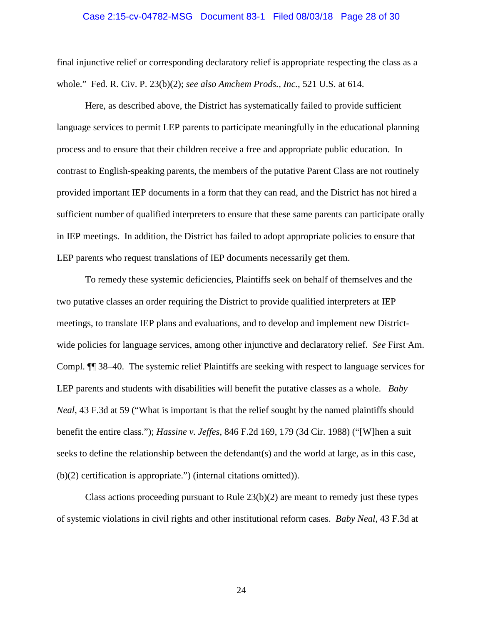#### <span id="page-27-0"></span>Case 2:15-cv-04782-MSG Document 83-1 Filed 08/03/18 Page 28 of 30

final injunctive relief or corresponding declaratory relief is appropriate respecting the class as a whole." Fed. R. Civ. P. 23(b)(2); *see also Amchem Prods., Inc.*, 521 U.S. at 614.

Here, as described above, the District has systematically failed to provide sufficient language services to permit LEP parents to participate meaningfully in the educational planning process and to ensure that their children receive a free and appropriate public education. In contrast to English-speaking parents, the members of the putative Parent Class are not routinely provided important IEP documents in a form that they can read, and the District has not hired a sufficient number of qualified interpreters to ensure that these same parents can participate orally in IEP meetings. In addition, the District has failed to adopt appropriate policies to ensure that LEP parents who request translations of IEP documents necessarily get them.

To remedy these systemic deficiencies, Plaintiffs seek on behalf of themselves and the two putative classes an order requiring the District to provide qualified interpreters at IEP meetings, to translate IEP plans and evaluations, and to develop and implement new Districtwide policies for language services, among other injunctive and declaratory relief. *See* First Am. Compl. ¶¶ 38–40. The systemic relief Plaintiffs are seeking with respect to language services for LEP parents and students with disabilities will benefit the putative classes as a whole. *Baby Neal*, 43 F.3d at 59 ("What is important is that the relief sought by the named plaintiffs should benefit the entire class."); *Hassine v. Jeffes*, 846 F.2d 169, 179 (3d Cir. 1988) ("[W]hen a suit seeks to define the relationship between the defendant(s) and the world at large, as in this case, (b)(2) certification is appropriate.") (internal citations omitted)).

<span id="page-27-1"></span>Class actions proceeding pursuant to Rule  $23(b)(2)$  are meant to remedy just these types of systemic violations in civil rights and other institutional reform cases. *Baby Neal*, 43 F.3d at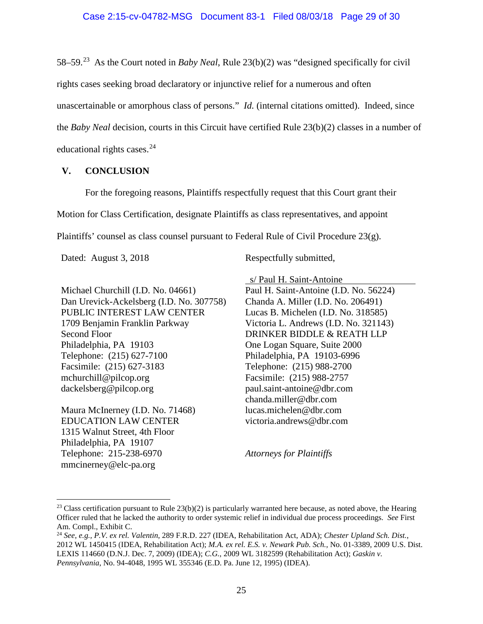58–59.[23](#page-28-5) As the Court noted in *Baby Neal*, Rule 23(b)(2) was "designed specifically for civil rights cases seeking broad declaratory or injunctive relief for a numerous and often unascertainable or amorphous class of persons." *Id.* (internal citations omitted). Indeed, since the *Baby Neal* decision, courts in this Circuit have certified Rule 23(b)(2) classes in a number of educational rights cases. $24$ 

# **V. CONCLUSION**

For the foregoing reasons, Plaintiffs respectfully request that this Court grant their

Motion for Class Certification, designate Plaintiffs as class representatives, and appoint

Plaintiffs' counsel as class counsel pursuant to Federal Rule of Civil Procedure  $23(g)$ .

Michael Churchill (I.D. No. 04661) Dan Urevick-Ackelsberg (I.D. No. 307758) PUBLIC INTEREST LAW CENTER 1709 Benjamin Franklin Parkway Second Floor Philadelphia, PA 19103 Telephone: (215) 627-7100 Facsimile: (215) 627-3183 mchurchill@pilcop.org dackelsberg@pilcop.org

Maura McInerney (I.D. No. 71468) EDUCATION LAW CENTER 1315 Walnut Street, 4th Floor Philadelphia, PA 19107 Telephone: 215-238-6970 mmcinerney@elc-pa.org

Dated: August 3, 2018 Respectfully submitted,

s/ Paul H. Saint-Antoine

Paul H. Saint-Antoine (I.D. No. 56224) Chanda A. Miller (I.D. No. 206491) Lucas B. Michelen (I.D. No. 318585) Victoria L. Andrews (I.D. No. 321143) DRINKER BIDDLE & REATH LLP One Logan Square, Suite 2000 Philadelphia, PA 19103-6996 Telephone: (215) 988-2700 Facsimile: (215) 988-2757 paul.saint-antoine@dbr.com chanda.miller@dbr.com lucas.michelen@dbr.com victoria.andrews@dbr.com

<span id="page-28-3"></span><span id="page-28-2"></span><span id="page-28-1"></span><span id="page-28-0"></span>*Attorneys for Plaintiffs*

<span id="page-28-5"></span><sup>&</sup>lt;sup>23</sup> Class certification pursuant to Rule  $23(b)(2)$  is particularly warranted here because, as noted above, the Hearing Officer ruled that he lacked the authority to order systemic relief in individual due process proceedings. *See* First Am. Compl., Exhibit C.

<span id="page-28-6"></span><span id="page-28-4"></span><sup>24</sup> *See, e.g., P.V. ex rel. Valentin*, 289 F.R.D. 227 (IDEA, Rehabilitation Act, ADA); *Chester Upland Sch. Dist.*, 2012 WL 1450415 (IDEA, Rehabilitation Act); *M.A. ex rel. E.S. v. Newark Pub. Sch.*, No. 01-3389, 2009 U.S. Dist. LEXIS 114660 (D.N.J. Dec. 7, 2009) (IDEA); *C.G.*, 2009 WL 3182599 (Rehabilitation Act); *Gaskin v. Pennsylvania*, No. 94-4048, 1995 WL 355346 (E.D. Pa. June 12, 1995) (IDEA).